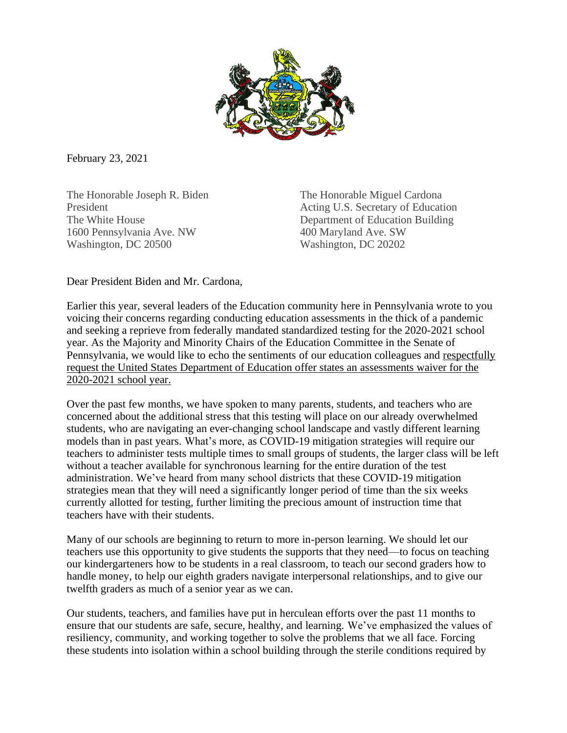

February 23, 2021

The Honorable Joseph R. Biden The Honorable Miguel Cardona 1600 Pennsylvania Ave. NW 400 Maryland Ave. SW Washington, DC 20500 Washington, DC 20202

President **President** Acting U.S. Secretary of Education The White House **Department of Education Building** 

Dear President Biden and Mr. Cardona,

Earlier this year, several leaders of the Education community here in Pennsylvania wrote to you voicing their concerns regarding conducting education assessments in the thick of a pandemic and seeking a reprieve from federally mandated standardized testing for the 2020-2021 school year. As the Majority and Minority Chairs of the Education Committee in the Senate of Pennsylvania, we would like to echo the sentiments of our education colleagues and respectfully request the United States Department of Education offer states an assessments waiver for the 2020-2021 school year.

Over the past few months, we have spoken to many parents, students, and teachers who are concerned about the additional stress that this testing will place on our already overwhelmed students, who are navigating an ever-changing school landscape and vastly different learning models than in past years. What's more, as COVID-19 mitigation strategies will require our teachers to administer tests multiple times to small groups of students, the larger class will be left without a teacher available for synchronous learning for the entire duration of the test administration. We've heard from many school districts that these COVID-19 mitigation strategies mean that they will need a significantly longer period of time than the six weeks currently allotted for testing, further limiting the precious amount of instruction time that teachers have with their students.

Many of our schools are beginning to return to more in-person learning. We should let our teachers use this opportunity to give students the supports that they need—to focus on teaching our kindergarteners how to be students in a real classroom, to teach our second graders how to handle money, to help our eighth graders navigate interpersonal relationships, and to give our twelfth graders as much of a senior year as we can.

Our students, teachers, and families have put in herculean efforts over the past 11 months to ensure that our students are safe, secure, healthy, and learning. We've emphasized the values of resiliency, community, and working together to solve the problems that we all face. Forcing these students into isolation within a school building through the sterile conditions required by